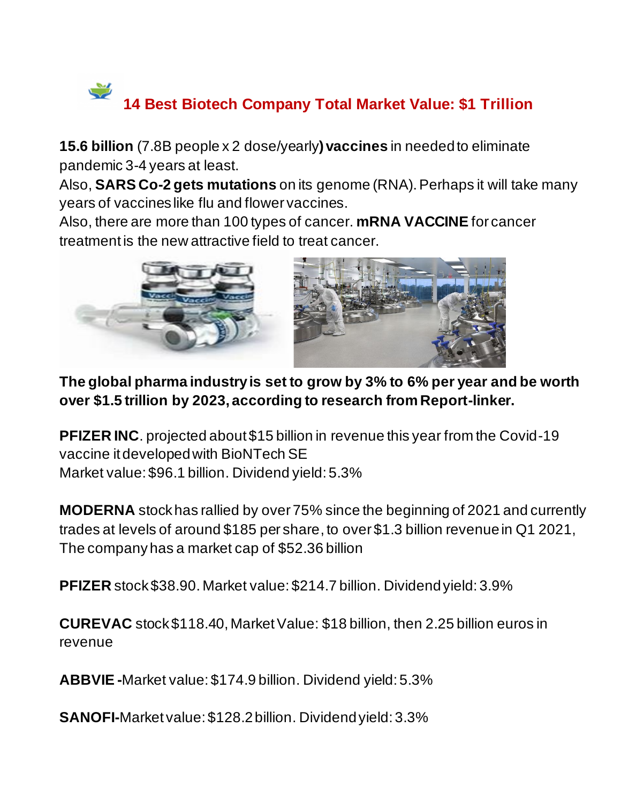## $\leq$ **14 Best Biotech Company Total Market Value: \$1 Trillion**

**15.6 billion** (7.8B people x 2 dose/yearly**) vaccines** in needed to eliminate pandemic 3-4 years at least.

Also, **SARS Co-2 gets mutations** on its genome (RNA). Perhaps it will take many years of vaccines like flu and flower vaccines.

Also, there are more than 100 types of cancer. **mRNA VACCINE** for cancer treatment is the new attractive field to treat cancer.



**The global pharma industry is set to grow by 3% to 6% per year and be worth over \$1.5 trillion by 2023, according to research from Report-linker.**

**PFIZER INC**. projected about \$15 billion in revenue this year from the Covid-19 vaccine it developed with BioNTech SE Market value: \$96.1 billion. Dividend yield: 5.3%

**MODERNA** stock has rallied by over 75% since the beginning of 2021 and currently trades at levels of around \$185 per share, to over \$1.3 billion revenue in Q1 2021, The company has a market cap of \$52.36 billion

**PFIZER** stock \$38.90. Market value: \$214.7 billion. Dividend yield: 3.9%

**CUREVAC** stock \$118.40, Market Value: \$18 billion, then 2.25 billion euros in revenue

**ABBVIE -**Market value: \$174.9 billion. Dividend yield: 5.3%

**SANOFI-**Market value: \$128.2 billion. Dividend yield: 3.3%